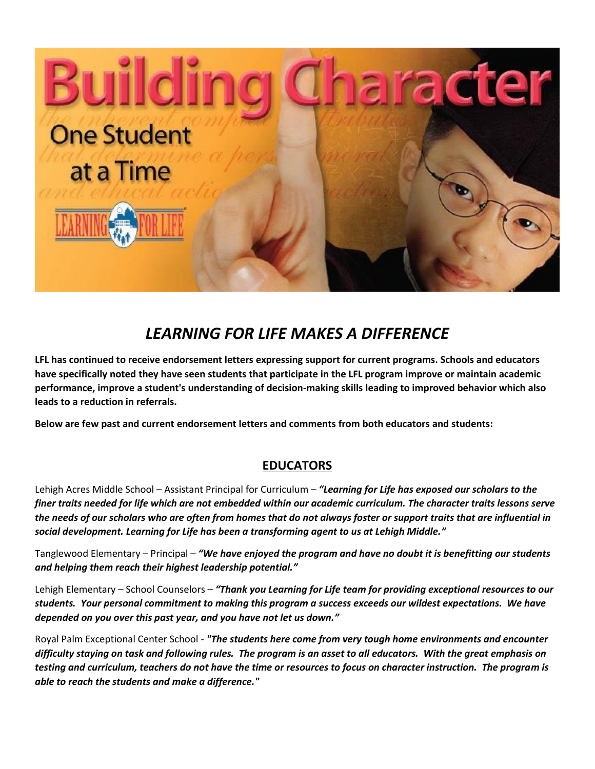

## *LEARNING FOR LIFE MAKES A DIFFERENCE*

**LFL has continued to receive endorsement letters expressing support for current programs. Schools and educators have specifically noted they have seen students that participate in the LFL program improve or maintain academic performance, improve a student's understanding of decision-making skills leading to improved behavior which also leads to a reduction in referrals.**

**Below are few past and current endorsement letters and comments from both educators and students:**

## **EDUCATORS**

Lehigh Acres Middle School – Assistant Principal for Curriculum – *"Learning for Life has exposed our scholars to the finer traits needed for life which are not embedded within our academic curriculum. The character traits lessons serve the needs of our scholars who are often from homes that do not always foster or support traits that are influential in social development. Learning for Life has been a transforming agent to us at Lehigh Middle."*

Tanglewood Elementary – Principal – *"We have enjoyed the program and have no doubt it is benefitting our students and helping them reach their highest leadership potential."*

Lehigh Elementary – School Counselors – *"Thank you Learning for Life team for providing exceptional resources to our students. Your personal commitment to making this program a success exceeds our wildest expectations. We have depended on you over this past year, and you have not let us down."*

Royal Palm Exceptional Center School - *"The students here come from very tough home environments and encounter difficulty staying on task and following rules. The program is an asset to all educators. With the great emphasis on testing and curriculum, teachers do not have the time or resources to focus on character instruction. The program is able to reach the students and make a difference."*